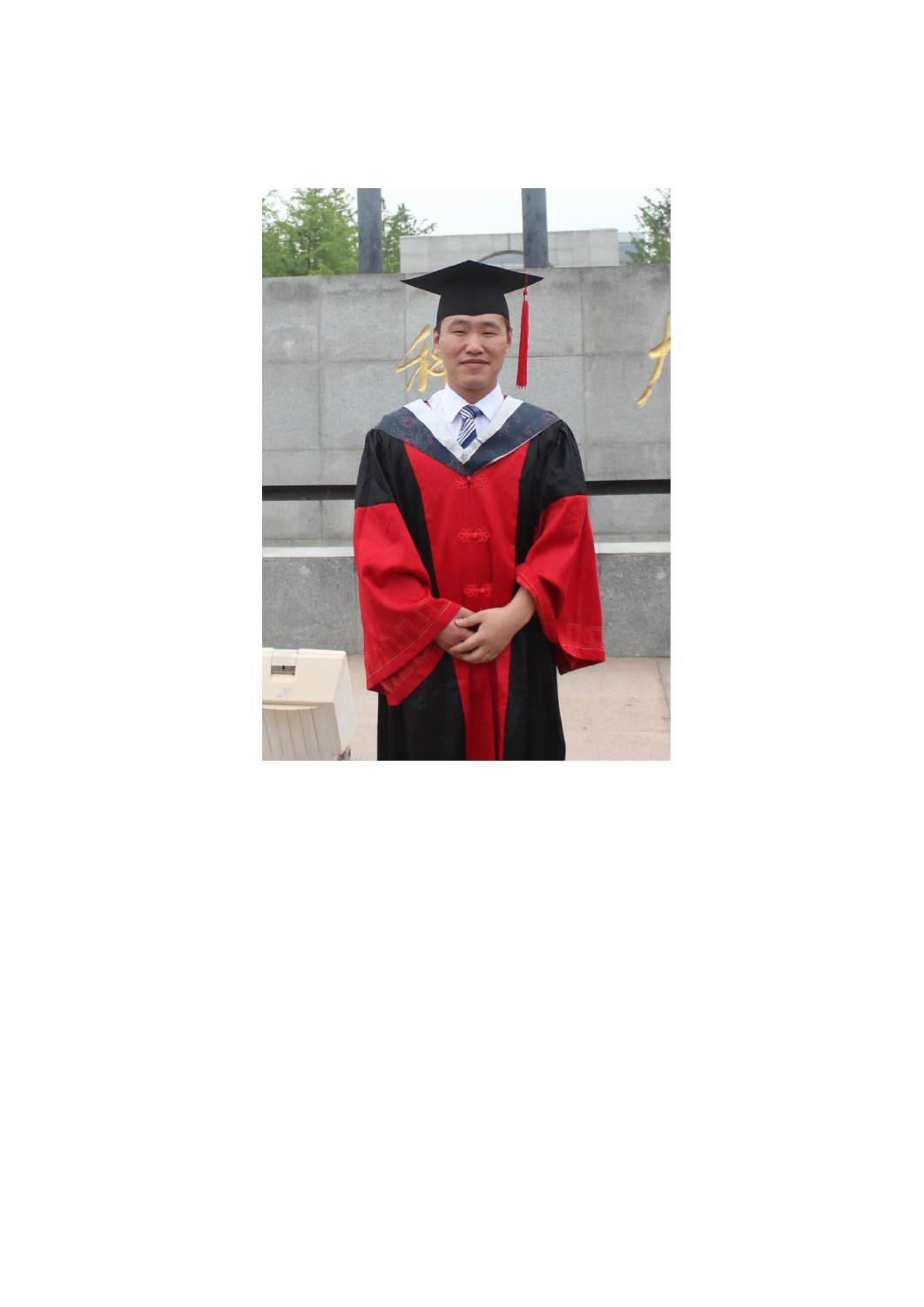